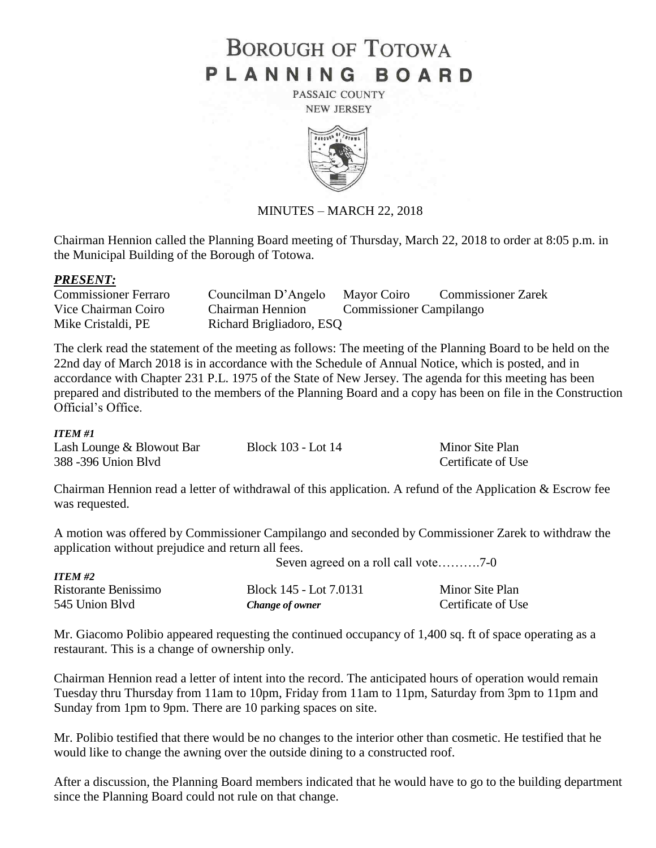# **BOROUGH OF TOTOWA** PLANNING BOARD

PASSAIC COUNTY **NEW JERSEY** 



#### MINUTES – MARCH 22, 2018

Chairman Hennion called the Planning Board meeting of Thursday, March 22, 2018 to order at 8:05 p.m. in the Municipal Building of the Borough of Totowa.

#### *PRESENT:*

| <b>Commissioner Ferraro</b> | Councilman D'Angelo      | Mayor Coiro                    | <b>Commissioner Zarek</b> |
|-----------------------------|--------------------------|--------------------------------|---------------------------|
| Vice Chairman Coiro         | <b>Chairman Hennion</b>  | <b>Commissioner Campilango</b> |                           |
| Mike Cristaldi, PE          | Richard Brigliadoro, ESQ |                                |                           |

The clerk read the statement of the meeting as follows: The meeting of the Planning Board to be held on the 22nd day of March 2018 is in accordance with the Schedule of Annual Notice, which is posted, and in accordance with Chapter 231 P.L. 1975 of the State of New Jersey. The agenda for this meeting has been prepared and distributed to the members of the Planning Board and a copy has been on file in the Construction Official's Office.

#### *ITEM #1*

| Lash Lounge & Blowout Bar | Block 103 - Lot 14 | Minor Site Plan    |
|---------------------------|--------------------|--------------------|
| 388 - 396 Union Blvd      |                    | Certificate of Use |

Chairman Hennion read a letter of withdrawal of this application. A refund of the Application & Escrow fee was requested.

A motion was offered by Commissioner Campilango and seconded by Commissioner Zarek to withdraw the application without prejudice and return all fees.

| <b>ITEM #2</b>       |                        |                    |  |
|----------------------|------------------------|--------------------|--|
| Ristorante Benissimo | Block 145 - Lot 7.0131 | Minor Site Plan    |  |
| 545 Union Blyd       | Change of owner        | Certificate of Use |  |

Mr. Giacomo Polibio appeared requesting the continued occupancy of 1,400 sq. ft of space operating as a restaurant. This is a change of ownership only.

Chairman Hennion read a letter of intent into the record. The anticipated hours of operation would remain Tuesday thru Thursday from 11am to 10pm, Friday from 11am to 11pm, Saturday from 3pm to 11pm and Sunday from 1pm to 9pm. There are 10 parking spaces on site.

Mr. Polibio testified that there would be no changes to the interior other than cosmetic. He testified that he would like to change the awning over the outside dining to a constructed roof.

After a discussion, the Planning Board members indicated that he would have to go to the building department since the Planning Board could not rule on that change.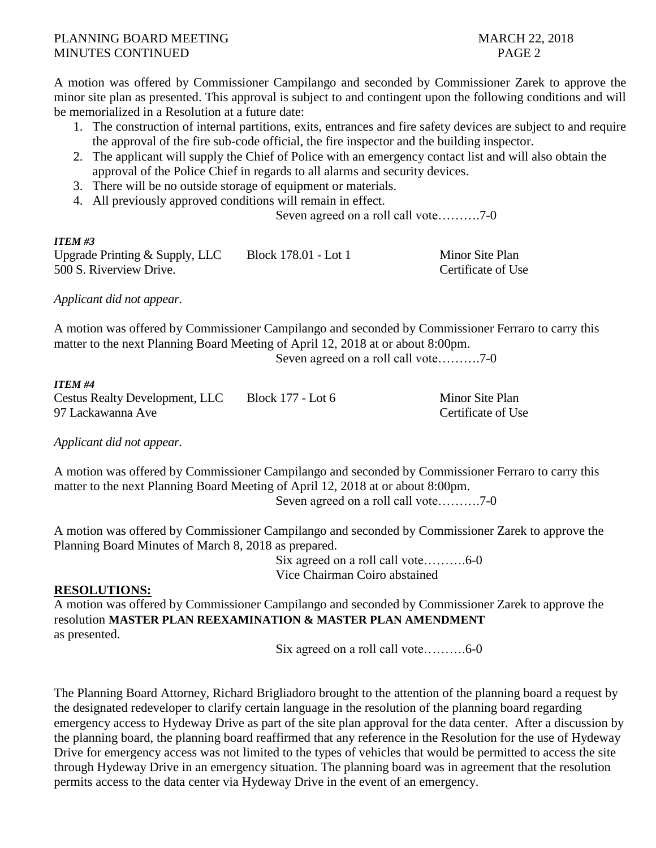A motion was offered by Commissioner Campilango and seconded by Commissioner Zarek to approve the minor site plan as presented. This approval is subject to and contingent upon the following conditions and will be memorialized in a Resolution at a future date:

- 1. The construction of internal partitions, exits, entrances and fire safety devices are subject to and require the approval of the fire sub-code official, the fire inspector and the building inspector.
- 2. The applicant will supply the Chief of Police with an emergency contact list and will also obtain the approval of the Police Chief in regards to all alarms and security devices.
- 3. There will be no outside storage of equipment or materials.
- 4. All previously approved conditions will remain in effect.

Seven agreed on a roll call vote……….7-0

### *ITEM #3*

| Upgrade Printing $&$ Supply, LLC | Block 178.01 - Lot 1 | Minor Site Plan    |
|----------------------------------|----------------------|--------------------|
| 500 S. Riverview Drive.          |                      | Certificate of Use |

*Applicant did not appear.*

A motion was offered by Commissioner Campilango and seconded by Commissioner Ferraro to carry this matter to the next Planning Board Meeting of April 12, 2018 at or about 8:00pm.

Seven agreed on a roll call vote……….7-0

#### *ITEM #4*

Cestus Realty Development, LLC Block 177 - Lot 6 Minor Site Plan 97 Lackawanna Ave **Certificate of Use** Certificate of Use

*Applicant did not appear.*

A motion was offered by Commissioner Campilango and seconded by Commissioner Ferraro to carry this matter to the next Planning Board Meeting of April 12, 2018 at or about 8:00pm. Seven agreed on a roll call vote……….7-0

A motion was offered by Commissioner Campilango and seconded by Commissioner Zarek to approve the Planning Board Minutes of March 8, 2018 as prepared.

> Six agreed on a roll call vote……….6-0 Vice Chairman Coiro abstained

## **RESOLUTIONS:**

A motion was offered by Commissioner Campilango and seconded by Commissioner Zarek to approve the resolution **MASTER PLAN REEXAMINATION & MASTER PLAN AMENDMENT**  as presented.

Six agreed on a roll call vote……….6-0

The Planning Board Attorney, Richard Brigliadoro brought to the attention of the planning board a request by the designated redeveloper to clarify certain language in the resolution of the planning board regarding emergency access to Hydeway Drive as part of the site plan approval for the data center. After a discussion by the planning board, the planning board reaffirmed that any reference in the Resolution for the use of Hydeway Drive for emergency access was not limited to the types of vehicles that would be permitted to access the site through Hydeway Drive in an emergency situation. The planning board was in agreement that the resolution permits access to the data center via Hydeway Drive in the event of an emergency.